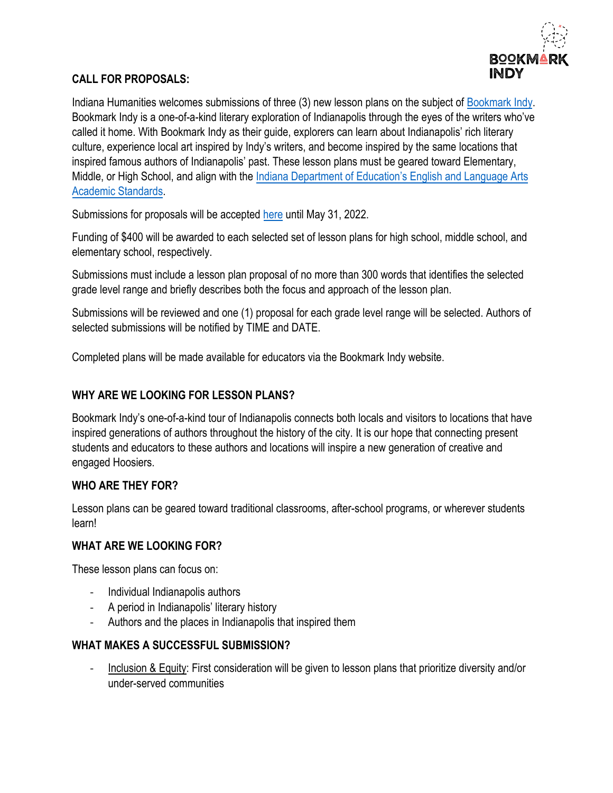

### **CALL FOR PROPOSALS:**

Indiana Humanities welcomes submissions of three (3) new lesson plans on the subject of [Bookmark Indy.](https://bookmarkindy.com/) Bookmark Indy is a one-of-a-kind literary exploration of Indianapolis through the eyes of the writers who've called it home. With Bookmark Indy as their guide, explorers can learn about Indianapolis' rich literary culture, experience local art inspired by Indy's writers, and become inspired by the same locations that inspired famous authors of Indianapolis' past. These lesson plans must be geared toward Elementary, Middle, or High School, and align with the [Indiana Department of Education'](https://www.in.gov/doe/students/indiana-academic-standards/englishlanguage-arts/)s English and Language Arts [Academic Standards.](https://www.in.gov/doe/students/indiana-academic-standards/englishlanguage-arts/)

Submissions for proposals will be accepted [here](https://indianahumanities.wufoo.com/forms/m1lixtio00gosf2/) until May 31, 2022.

Funding of \$400 will be awarded to each selected set of lesson plans for high school, middle school, and elementary school, respectively.

Submissions must include a lesson plan proposal of no more than 300 words that identifies the selected grade level range and briefly describes both the focus and approach of the lesson plan.

Submissions will be reviewed and one (1) proposal for each grade level range will be selected. Authors of selected submissions will be notified by TIME and DATE.

Completed plans will be made available for educators via the Bookmark Indy website.

## **WHY ARE WE LOOKING FOR LESSON PLANS?**

Bookmark Indy's one-of-a-kind tour of Indianapolis connects both locals and visitors to locations that have inspired generations of authors throughout the history of the city. It is our hope that connecting present students and educators to these authors and locations will inspire a new generation of creative and engaged Hoosiers.

#### **WHO ARE THEY FOR?**

Lesson plans can be geared toward traditional classrooms, after-school programs, or wherever students learn!

#### **WHAT ARE WE LOOKING FOR?**

These lesson plans can focus on:

- Individual Indianapolis authors
- A period in Indianapolis' literary history
- Authors and the places in Indianapolis that inspired them

#### **WHAT MAKES A SUCCESSFUL SUBMISSION?**

- Inclusion & Equity: First consideration will be given to lesson plans that prioritize diversity and/or under-served communities